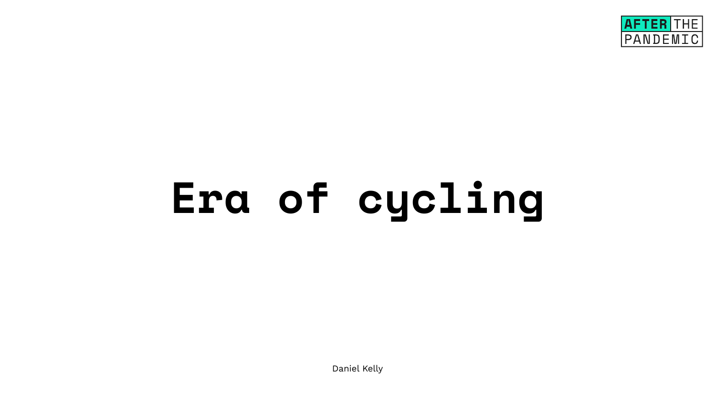# **Era of cycling**

Daniel Kelly

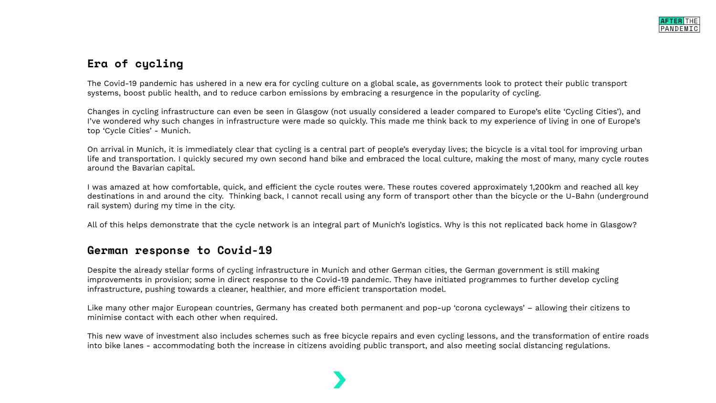# **Era of cycling**

The Covid-19 pandemic has ushered in a new era for cycling culture on a global scale, as governments look to protect their public transport systems, boost public health, and to reduce carbon emissions by embracing a resurgence in the popularity of cycling.

Changes in cycling infrastructure can even be seen in Glasgow (not usually considered a leader compared to Europe's elite 'Cycling Cities'), and I've wondered why such changes in infrastructure were made so quickly. This made me think back to my experience of living in one of Europe's top 'Cycle Cities' - Munich.

On arrival in Munich, it is immediately clear that cycling is a central part of people's everyday lives; the bicycle is a vital tool for improving urban life and transportation. I quickly secured my own second hand bike and embraced the local culture, making the most of many, many cycle routes around the Bavarian capital.

I was amazed at how comfortable, quick, and efficient the cycle routes were. These routes covered approximately 1,200km and reached all key destinations in and around the city. Thinking back, I cannot recall using any form of transport other than the bicycle or the U-Bahn (underground rail system) during my time in the city.

All of this helps demonstrate that the cycle network is an integral part of Munich's logistics. Why is this not replicated back home in Glasgow?

### **German response to Covid-19**

Despite the already stellar forms of cycling infrastructure in Munich and other German cities, the German government is still making improvements in provision; some in direct response to the Covid-19 pandemic. They have initiated programmes to further develop cycling infrastructure, pushing towards a cleaner, healthier, and more efficient transportation model.

Like many other major European countries, Germany has created both permanent and pop-up 'corona cycleways' – allowing their citizens to minimise contact with each other when required.

This new wave of investment also includes schemes such as free bicycle repairs and even cycling lessons, and the transformation of entire roads into bike lanes - accommodating both the increase in citizens avoiding public transport, and also meeting social distancing regulations.

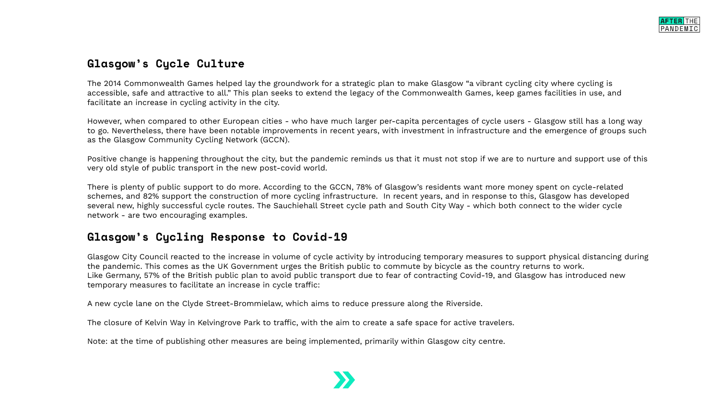# **Glasgow's Cycle Culture**

The 2014 Commonwealth Games helped lay the groundwork for a strategic plan to make Glasgow "a vibrant cycling city where cycling is accessible, safe and attractive to all." This plan seeks to extend the legacy of the Commonwealth Games, keep games facilities in use, and facilitate an increase in cycling activity in the city.

However, when compared to other European cities - who have much larger per-capita percentages of cycle users - Glasgow still has a long way to go. Nevertheless, there have been notable improvements in recent years, with investment in infrastructure and the emergence of groups such as the Glasgow Community Cycling Network (GCCN).

Positive change is happening throughout the city, but the pandemic reminds us that it must not stop if we are to nurture and support use of this very old style of public transport in the new post-covid world.

There is plenty of public support to do more. According to the GCCN, 78% of Glasgow's residents want more money spent on cycle-related schemes, and 82% support the construction of more cycling infrastructure. In recent years, and in response to this, Glasgow has developed several new, highly successful cycle routes. The Sauchiehall Street cycle path and South City Way - which both connect to the wider cycle network - are two encouraging examples.

### **Glasgow's Cycling Response to Covid-19**

Glasgow City Council reacted to the increase in volume of cycle activity by introducing temporary measures to support physical distancing during the pandemic. This comes as the UK Government urges the British public to commute by bicycle as the country returns to work. Like Germany, 57% of the British public plan to avoid public transport due to fear of contracting Covid-19, and Glasgow has introduced new temporary measures to facilitate an increase in cycle traffic:

A new cycle lane on the Clyde Street-Brommielaw, which aims to reduce pressure along the Riverside.

The closure of Kelvin Way in Kelvingrove Park to traffic, with the aim to create a safe space for active travelers.

Note: at the time of publishing other measures are being implemented, primarily within Glasgow city centre.